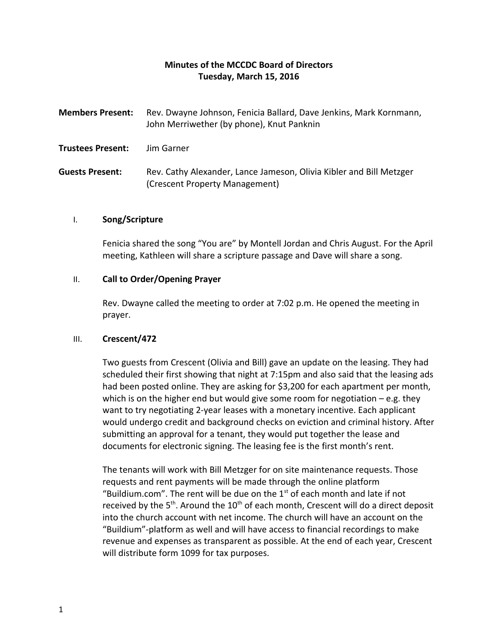# **Minutes of the MCCDC Board of Directors Tuesday, March 15, 2016**

| <b>Members Present:</b>  | Rev. Dwayne Johnson, Fenicia Ballard, Dave Jenkins, Mark Kornmann,<br>John Merriwether (by phone), Knut Panknin |
|--------------------------|-----------------------------------------------------------------------------------------------------------------|
| <b>Trustees Present:</b> | Jim Garner                                                                                                      |
| <b>Guests Present:</b>   | Rev. Cathy Alexander, Lance Jameson, Olivia Kibler and Bill Metzger<br>(Crescent Property Management)           |

## I. **Song/Scripture**

Fenicia shared the song "You are" by Montell Jordan and Chris August. For the April meeting, Kathleen will share a scripture passage and Dave will share a song.

## II. **Call to Order/Opening Prayer**

Rev. Dwayne called the meeting to order at 7:02 p.m. He opened the meeting in prayer.

### III. **Crescent/472**

Two guests from Crescent (Olivia and Bill) gave an update on the leasing. They had scheduled their first showing that night at 7:15pm and also said that the leasing ads had been posted online. They are asking for \$3,200 for each apartment per month, which is on the higher end but would give some room for negotiation  $-e.g.$  they want to try negotiating 2-year leases with a monetary incentive. Each applicant would undergo credit and background checks on eviction and criminal history. After submitting an approval for a tenant, they would put together the lease and documents for electronic signing. The leasing fee is the first month's rent.

The tenants will work with Bill Metzger for on site maintenance requests. Those requests and rent payments will be made through the online platform "Buildium.com". The rent will be due on the  $1<sup>st</sup>$  of each month and late if not received by the  $5<sup>th</sup>$ . Around the  $10<sup>th</sup>$  of each month, Crescent will do a direct deposit into the church account with net income. The church will have an account on the "Buildium"-platform as well and will have access to financial recordings to make revenue and expenses as transparent as possible. At the end of each year, Crescent will distribute form 1099 for tax purposes.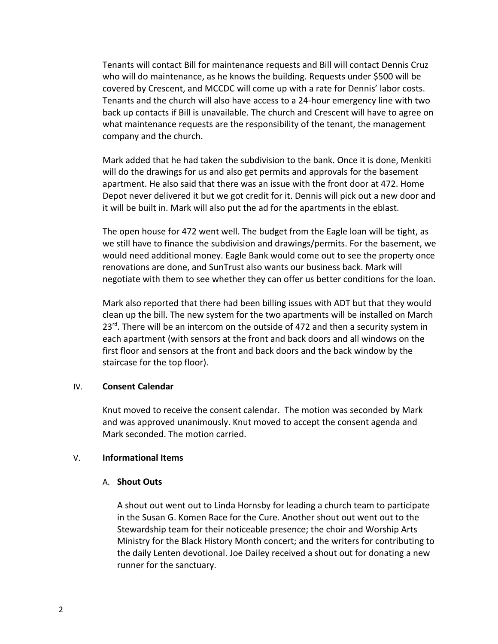Tenants will contact Bill for maintenance requests and Bill will contact Dennis Cruz who will do maintenance, as he knows the building. Requests under \$500 will be covered by Crescent, and MCCDC will come up with a rate for Dennis' labor costs. Tenants and the church will also have access to a 24-hour emergency line with two back up contacts if Bill is unavailable. The church and Crescent will have to agree on what maintenance requests are the responsibility of the tenant, the management company and the church.

Mark added that he had taken the subdivision to the bank. Once it is done, Menkiti will do the drawings for us and also get permits and approvals for the basement apartment. He also said that there was an issue with the front door at 472. Home Depot never delivered it but we got credit for it. Dennis will pick out a new door and it will be built in. Mark will also put the ad for the apartments in the eblast.

The open house for 472 went well. The budget from the Eagle loan will be tight, as we still have to finance the subdivision and drawings/permits. For the basement, we would need additional money. Eagle Bank would come out to see the property once renovations are done, and SunTrust also wants our business back. Mark will negotiate with them to see whether they can offer us better conditions for the loan.

Mark also reported that there had been billing issues with ADT but that they would clean up the bill. The new system for the two apartments will be installed on March  $23<sup>rd</sup>$ . There will be an intercom on the outside of 472 and then a security system in each apartment (with sensors at the front and back doors and all windows on the first floor and sensors at the front and back doors and the back window by the staircase for the top floor).

### IV. **Consent Calendar**

Knut moved to receive the consent calendar. The motion was seconded by Mark and was approved unanimously. Knut moved to accept the consent agenda and Mark seconded. The motion carried.

### V. **Informational Items**

### A. **Shout Outs**

A shout out went out to Linda Hornsby for leading a church team to participate in the Susan G. Komen Race for the Cure. Another shout out went out to the Stewardship team for their noticeable presence; the choir and Worship Arts Ministry for the Black History Month concert; and the writers for contributing to the daily Lenten devotional. Joe Dailey received a shout out for donating a new runner for the sanctuary.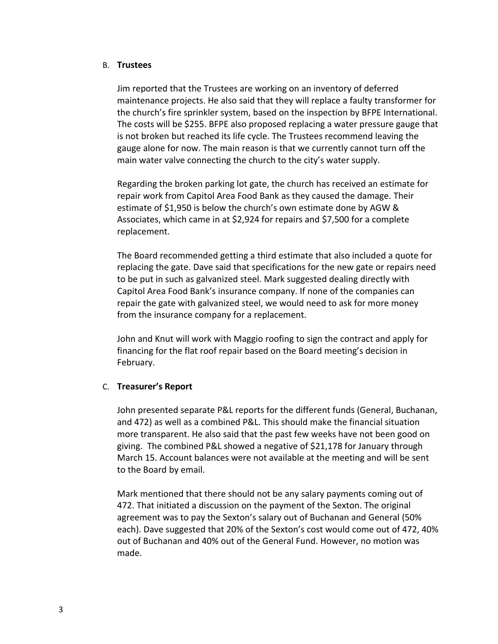### B. **Trustees**

Jim reported that the Trustees are working on an inventory of deferred maintenance projects. He also said that they will replace a faulty transformer for the church's fire sprinkler system, based on the inspection by BFPE International. The costs will be \$255. BFPE also proposed replacing a water pressure gauge that is not broken but reached its life cycle. The Trustees recommend leaving the gauge alone for now. The main reason is that we currently cannot turn off the main water valve connecting the church to the city's water supply.

Regarding the broken parking lot gate, the church has received an estimate for repair work from Capitol Area Food Bank as they caused the damage. Their estimate of \$1,950 is below the church's own estimate done by AGW & Associates, which came in at \$2,924 for repairs and \$7,500 for a complete replacement.

The Board recommended getting a third estimate that also included a quote for replacing the gate. Dave said that specifications for the new gate or repairs need to be put in such as galvanized steel. Mark suggested dealing directly with Capitol Area Food Bank's insurance company. If none of the companies can repair the gate with galvanized steel, we would need to ask for more money from the insurance company for a replacement.

John and Knut will work with Maggio roofing to sign the contract and apply for financing for the flat roof repair based on the Board meeting's decision in February.

# C. **Treasurer's Report**

John presented separate P&L reports for the different funds (General, Buchanan, and 472) as well as a combined P&L. This should make the financial situation more transparent. He also said that the past few weeks have not been good on giving. The combined P&L showed a negative of \$21,178 for January through March 15. Account balances were not available at the meeting and will be sent to the Board by email.

Mark mentioned that there should not be any salary payments coming out of 472. That initiated a discussion on the payment of the Sexton. The original agreement was to pay the Sexton's salary out of Buchanan and General (50% each). Dave suggested that 20% of the Sexton's cost would come out of 472, 40% out of Buchanan and 40% out of the General Fund. However, no motion was made.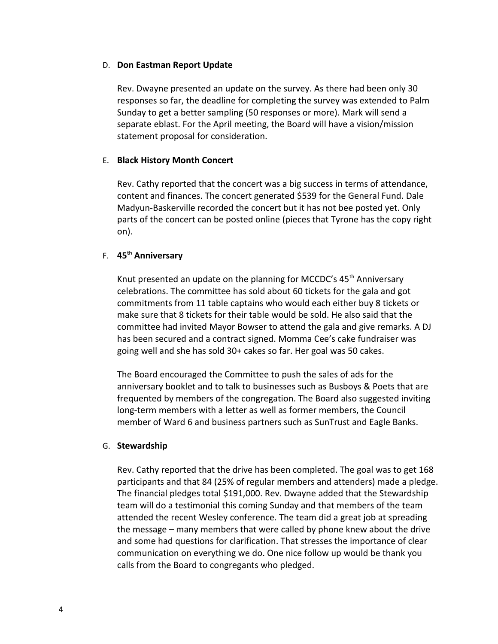## D. **Don Eastman Report Update**

Rev. Dwayne presented an update on the survey. As there had been only 30 responses so far, the deadline for completing the survey was extended to Palm Sunday to get a better sampling (50 responses or more). Mark will send a separate eblast. For the April meeting, the Board will have a vision/mission statement proposal for consideration.

# E. **Black History Month Concert**

Rev. Cathy reported that the concert was a big success in terms of attendance, content and finances. The concert generated \$539 for the General Fund. Dale Madyun-Baskerville recorded the concert but it has not bee posted yet. Only parts of the concert can be posted online (pieces that Tyrone has the copy right on).

# F. **45th Anniversary**

Knut presented an update on the planning for MCCDC's  $45<sup>th</sup>$  Anniversary celebrations. The committee has sold about 60 tickets for the gala and got commitments from 11 table captains who would each either buy 8 tickets or make sure that 8 tickets for their table would be sold. He also said that the committee had invited Mayor Bowser to attend the gala and give remarks. A DJ has been secured and a contract signed. Momma Cee's cake fundraiser was going well and she has sold 30+ cakes so far. Her goal was 50 cakes.

The Board encouraged the Committee to push the sales of ads for the anniversary booklet and to talk to businesses such as Busboys & Poets that are frequented by members of the congregation. The Board also suggested inviting long-term members with a letter as well as former members, the Council member of Ward 6 and business partners such as SunTrust and Eagle Banks.

# G. **Stewardship**

Rev. Cathy reported that the drive has been completed. The goal was to get 168 participants and that 84 (25% of regular members and attenders) made a pledge. The financial pledges total \$191,000. Rev. Dwayne added that the Stewardship team will do a testimonial this coming Sunday and that members of the team attended the recent Wesley conference. The team did a great job at spreading the message – many members that were called by phone knew about the drive and some had questions for clarification. That stresses the importance of clear communication on everything we do. One nice follow up would be thank you calls from the Board to congregants who pledged.